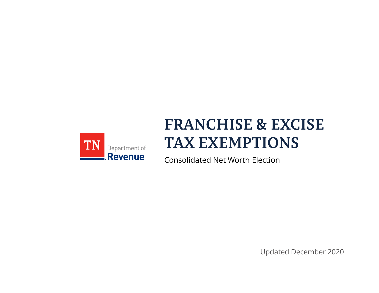

## **FRANCHISE & EXCISE TAX EXEMPTIONS**

Consolidated Net Worth Election

Updated December 2020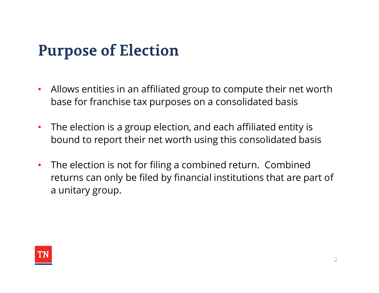# **Purpose of Election**

- Allows entities in an affiliated group to compute their net worth base for franchise tax purposes on a consolidated basis
- The election is a group election, and each affiliated entity is bound to report their net worth using this consolidated basis
- The election is not for filing a combined return. Combined returns can only be filed by financial institutions that are part of a unitary group.

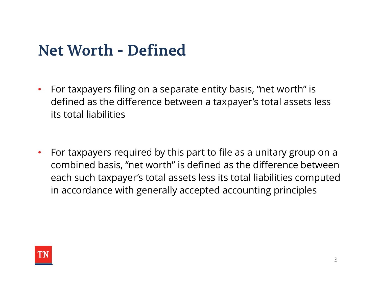#### **Net Worth - Defined**

- For taxpayers filing on a separate entity basis, "net worth" is defined as the difference between a taxpayer's total assets less its total liabilities
- For taxpayers required by this part to file as a unitary group on a combined basis, "net worth" is defined as the difference between each such taxpayer's total assets less its total liabilities computed in accordance with generally accepted accounting principles

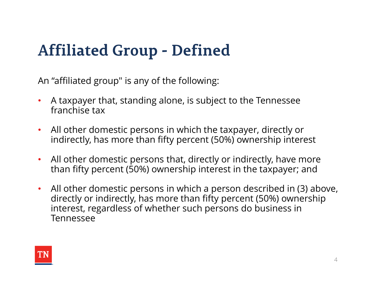# **Affiliated Group - Defined**

An "affiliated group" is any of the following:

- A taxpayer that, standing alone, is subject to the Tennessee franchise tax
- All other domestic persons in which the taxpayer, directly or indirectly, has more than fifty percent (50%) ownership interest
- All other domestic persons that, directly or indirectly, have more than fifty percent (50%) ownership interest in the taxpayer; and
- All other domestic persons in which a person described in (3) above, directly or indirectly, has more than fifty percent (50%) ownership interest, regardless of whether such persons do business in Tennessee

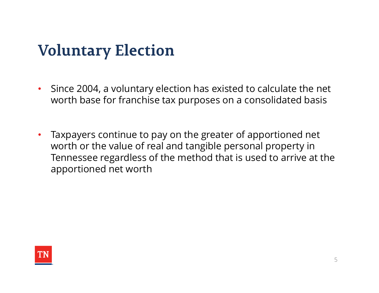#### **Voluntary Election**

- Since 2004, a voluntary election has existed to calculate the net worth base for franchise tax purposes on a consolidated basis
- Taxpayers continue to pay on the greater of apportioned net worth or the value of real and tangible personal property in Tennessee regardless of the method that is used to arrive at the apportioned net worth

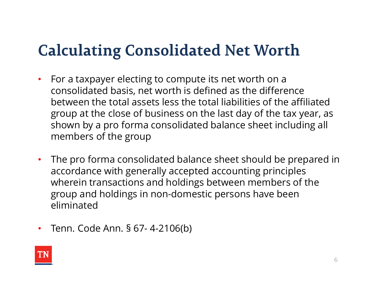## **Calculating Consolidated Net Worth**

- For a taxpayer electing to compute its net worth on a consolidated basis, net worth is defined as the difference between the total assets less the total liabilities of the affiliated group at the close of business on the last day of the tax year, as shown by a pro forma consolidated balance sheet including all members of the group
- The pro forma consolidated balance sheet should be prepared in accordance with generally accepted accounting principles wherein transactions and holdings between members of the group and holdings in non-domestic persons have been eliminated group at the close of business on the last day of the tax yes<br>shown by a pro forma consolidated balance sheet includin<br>members of the group<br>• The pro forma consolidated balance sheet should be prep<br>accordance with generall
- 

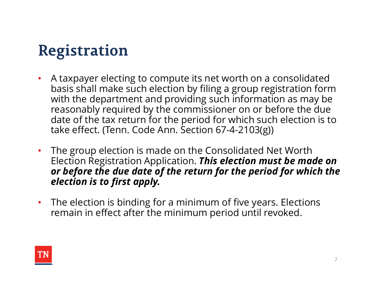# **Registration**

- A taxpayer electing to compute its net worth on a consolidated basis shall make such election by filing a group registration form with the department and providing such information as may be reasonably required by the commissioner on or before the due date of the tax return for the period for which such election is to take effect. (Tenn. Code Ann. Section 67-4-2103(g))
- The group election is made on the Consolidated Net Worth Election Registration Application. This election must be made on or before the due date of the return for the period for which the election is to first apply.
- The election is binding for a minimum of five years. Elections remain in effect after the minimum period until revoked.

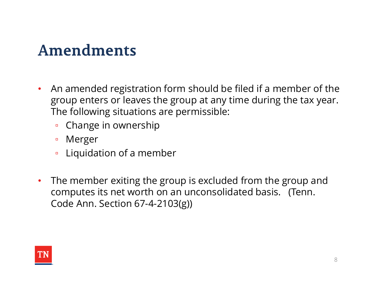#### Amendments

- An amended registration form should be filed if a member of the group enters or leaves the group at any time during the tax year. The following situations are permissible:
	- Change in ownership
	- Merger
	- Liquidation of a member
- The member exiting the group is excluded from the group and computes its net worth on an unconsolidated basis. (Tenn. Code Ann. Section 67-4-2103(g))

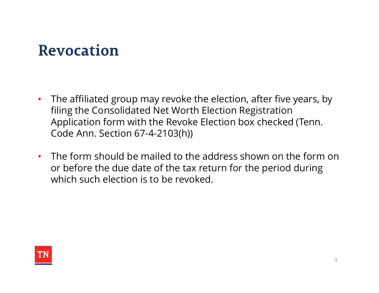#### **Revocation**

- The affiliated group may revoke the election, after five years, by filing the Consolidated Net Worth Election Registration Application form with the Revoke Election box checked (Tenn. Code Ann. Section 67-4-2103(h))
- The form should be mailed to the address shown on the form on or before the due date of the tax return for the period during which such election is to be revoked.

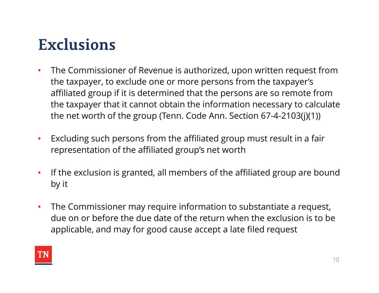# **Exclusions**

- The Commissioner of Revenue is authorized, upon written request from the taxpayer, to exclude one or more persons from the taxpayer's affiliated group if it is determined that the persons are so remote from the taxpayer that it cannot obtain the information necessary to calculate the net worth of the group (Tenn. Code Ann. Section 67-4-2103(j)(1))
- Excluding such persons from the affiliated group must result in a fair representation of the affiliated group's net worth
- If the exclusion is granted, all members of the affiliated group are bound by it
- The Commissioner may require information to substantiate a request, due on or before the due date of the return when the exclusion is to be applicable, and may for good cause accept a late filed request

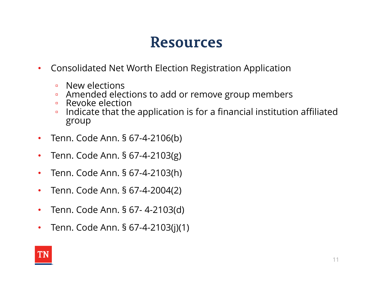- Consolidated Net Worth Election Registration Application
	- New elections
	- Amended elections to add or remove group members
	- Revoke election
- Indicate that the application is for a financial institution affiliated group **Resources**<br>• Consolidated Net Worth Election Registration Applicatio<br>• New elections<br>• Amended elections to add or remove group membe<br>• Revoke election<br>• Indicate that the application is for a financial institut<br>group<br>• T **EXECTS**<br>
• Consolidated Net Worth Election Registration Applicatio<br>
• New elections<br>
• Amended elections to add or remove group membe<br>
• Revoke election<br>
• Indicate that the application is for a financial institut<br>
group<br> • Consolidated Net Worth Election Registration Applicatio<br>
• New elections<br>
• Arended elections to add or remove group membe<br>
• Revoke election<br>
• Indicate that the application is for a financial institut<br>
group<br>
• Tenn. C • New elections<br>• New elections<br>• Amended elections to add or remove group membe<br>• Revoke election<br>• Indicate that the application is for a financial institut<br>group<br>• Tenn. Code Ann. § 67-4-2103(g)<br>• Tenn. Code Ann. § 67-4 • Amended elections to add or remove group members<br>• Revoke election<br>• Indicate that the application is for a financial institution<br> $\text{group}$ <br>• Tenn. Code Ann. § 67-4-2103(g)<br>• Tenn. Code Ann. § 67-4-2103(h)<br>• Tenn. Code An • Indicate that the application is for a financial institut<br>group<br>• Tenn. Code Ann. § 67-4-2103(g)<br>• Tenn. Code Ann. § 67-4-2103(g)<br>• Tenn. Code Ann. § 67-4-2103(h)<br>• Tenn. Code Ann. § 67-4-2103(d)<br>• Tenn. Code Ann. § 67-4
- 
- 
- 
- 
- 
-